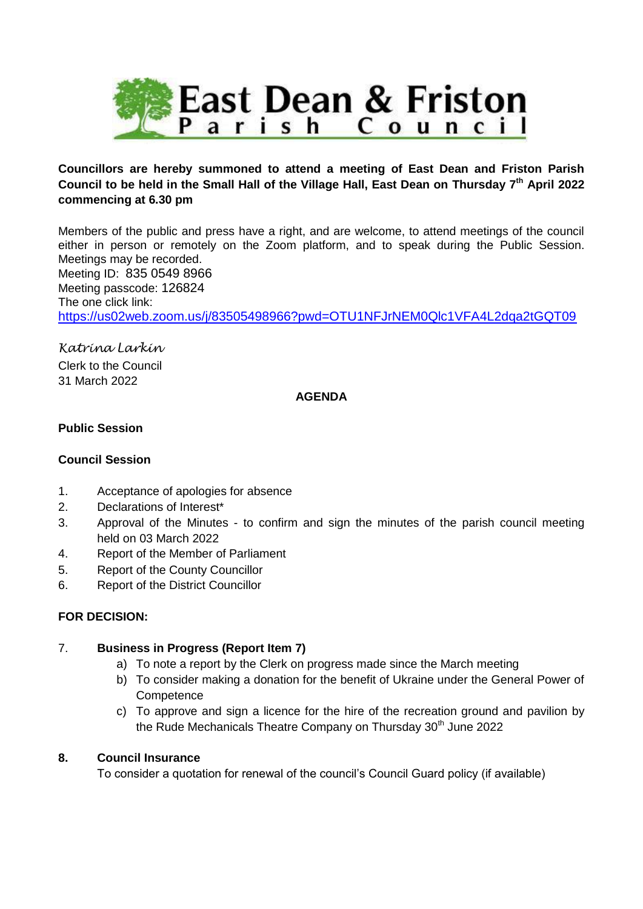

# **Councillors are hereby summoned to attend a meeting of East Dean and Friston Parish Council to be held in the Small Hall of the Village Hall, East Dean on Thursday 7th April 2022 commencing at 6.30 pm**

Members of the public and press have a right, and are welcome, to attend meetings of the council either in person or remotely on the Zoom platform, and to speak during the Public Session. Meetings may be recorded. Meeting ID: 835 0549 8966 Meeting passcode: 126824 The one click link: <https://us02web.zoom.us/j/83505498966?pwd=OTU1NFJrNEM0Qlc1VFA4L2dqa2tGQT09>

*Katrina Larkin* Clerk to the Council 31 March 2022

### **AGENDA**

### **Public Session**

#### **Council Session**

- 1. Acceptance of apologies for absence
- 2. Declarations of Interest\*
- 3. Approval of the Minutes to confirm and sign the minutes of the parish council meeting held on 03 March 2022
- 4. Report of the Member of Parliament
- 5. Report of the County Councillor
- 6. Report of the District Councillor

#### **FOR DECISION:**

#### 7. **Business in Progress (Report Item 7)**

- a) To note a report by the Clerk on progress made since the March meeting
- b) To consider making a donation for the benefit of Ukraine under the General Power of **Competence**
- c) To approve and sign a licence for the hire of the recreation ground and pavilion by the Rude Mechanicals Theatre Company on Thursday 30<sup>th</sup> June 2022

#### **8. Council Insurance**

To consider a quotation for renewal of the council's Council Guard policy (if available)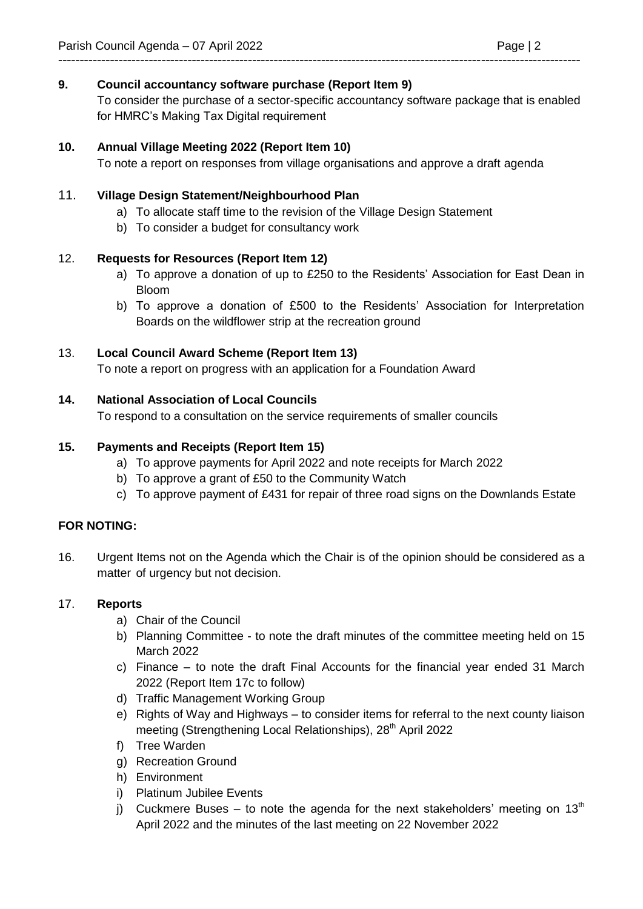# **9. Council accountancy software purchase (Report Item 9)**

To consider the purchase of a sector-specific accountancy software package that is enabled for HMRC's Making Tax Digital requirement

# **10. Annual Village Meeting 2022 (Report Item 10)**

To note a report on responses from village organisations and approve a draft agenda

-------------------------------------------------------------------------------------------------------------------------

### 11. **Village Design Statement/Neighbourhood Plan**

- a) To allocate staff time to the revision of the Village Design Statement
- b) To consider a budget for consultancy work

### 12. **Requests for Resources (Report Item 12)**

- a) To approve a donation of up to £250 to the Residents' Association for East Dean in Bloom
- b) To approve a donation of £500 to the Residents' Association for Interpretation Boards on the wildflower strip at the recreation ground

### 13. **Local Council Award Scheme (Report Item 13)**

To note a report on progress with an application for a Foundation Award

### **14. National Association of Local Councils**

To respond to a consultation on the service requirements of smaller councils

### **15. Payments and Receipts (Report Item 15)**

- a) To approve payments for April 2022 and note receipts for March 2022
- b) To approve a grant of £50 to the Community Watch
- c) To approve payment of £431 for repair of three road signs on the Downlands Estate

#### **FOR NOTING:**

16. Urgent Items not on the Agenda which the Chair is of the opinion should be considered as a matter of urgency but not decision.

#### 17. **Reports**

- a) Chair of the Council
- b) Planning Committee to note the draft minutes of the committee meeting held on 15 March 2022
- c) Finance to note the draft Final Accounts for the financial year ended 31 March 2022 (Report Item 17c to follow)
- d) Traffic Management Working Group
- e) Rights of Way and Highways to consider items for referral to the next county liaison meeting (Strengthening Local Relationships), 28<sup>th</sup> April 2022
- f) Tree Warden
- g) Recreation Ground
- h) Environment
- i) Platinum Jubilee Events
- j) Cuckmere Buses to note the agenda for the next stakeholders' meeting on  $13<sup>th</sup>$ April 2022 and the minutes of the last meeting on 22 November 2022